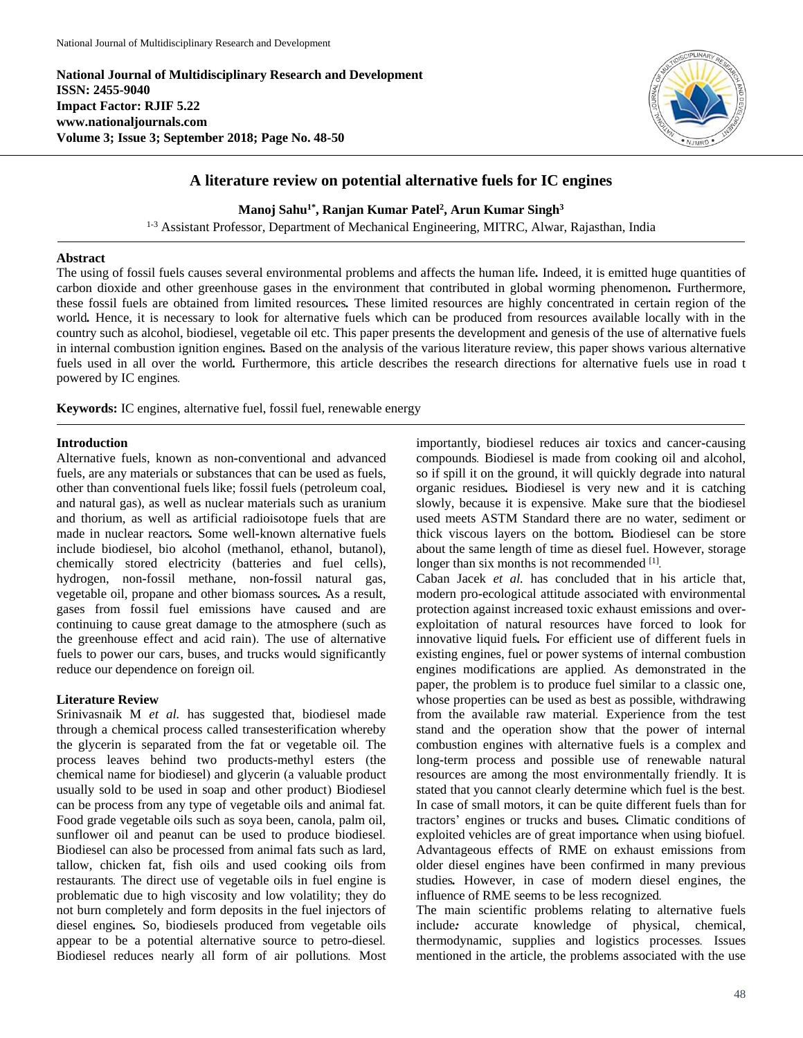**National Journal of Multidisciplinary Research and Development ISSN: 2455-9040 Impact Factor: RJIF 5.22 www.nationaljournals.com Volume 3; Issue 3; September 2018; Page No. 48-50**



# **A literature review on potential alternative fuels for IC engines**

**Manoj Sahu 1\* , Ranjan Kumar Patel<sup>2</sup> , Arun Kumar Singh<sup>3</sup>**

<sup>1-3</sup> Assistant Professor, Department of Mechanical Engineering, MITRC, Alwar, Rajasthan, India

## **Abstract**

The using of fossil fuels causes several environmental problems and affects the human life*.* Indeed, it is emitted huge quantities of carbon dioxide and other greenhouse gases in the environment that contributed in global worming phenomenon*.* Furthermore, these fossil fuels are obtained from limited resources*.* These limited resources are highly concentrated in certain region of the world*.* Hence, it is necessary to look for alternative fuels which can be produced from resources available locally with in the country such as alcohol, biodiesel, vegetable oil etc. This paper presents the development and genesis of the use of alternative fuels in internal combustion ignition engines*.* Based on the analysis of the various literature review, this paper shows various alternative fuels used in all over the world. Furthermore, this article describes the research directions for alternative fuels use in road t powered by IC engines*.*

**Keywords:** IC engines, alternative fuel, fossil fuel, renewable energy

#### **Introduction**

Alternative fuels, known as non*-*conventional and advanced fuels, are any materials or substances that can be used as fuels, other than conventional fuels like; fossil fuels (petroleum coal, and natural gas), as well as nuclear materials such as uranium and thorium, as well as artificial radioisotope fuels that are made in nuclear reactors*.* Some well*-*known alternative fuels include biodiesel, bio alcohol (methanol, ethanol, butanol), chemically stored electricity (batteries and fuel cells), hydrogen, non*-*fossil methane, non*-*fossil natural gas, vegetable oil, propane and other biomass sources*.* As a result, gases from fossil fuel emissions have caused and are continuing to cause great damage to the atmosphere (such as the greenhouse effect and acid rain). The use of alternative fuels to power our cars, buses, and trucks would significantly reduce our dependence on foreign oil*.*

#### **Literature Review**

Srinivasnaik M *et al.* has suggested that, biodiesel made through a chemical process called transesterification whereby the glycerin is separated from the fat or vegetable oil*.* The process leaves behind two products-methyl esters (the chemical name for biodiesel) and glycerin (a valuable product usually sold to be used in soap and other product) Biodiesel can be process from any type of vegetable oils and animal fat*.* Food grade vegetable oils such as soya been, canola, palm oil, sunflower oil and peanut can be used to produce biodiesel*.* Biodiesel can also be processed from animal fats such as lard, tallow, chicken fat, fish oils and used cooking oils from restaurants*.* The direct use of vegetable oils in fuel engine is problematic due to high viscosity and low volatility; they do not burn completely and form deposits in the fuel injectors of diesel engines*.* So, biodiesels produced from vegetable oils appear to be a potential alternative source to petro*-*diesel*.* Biodiesel reduces nearly all form of air pollutions*.* Most

importantly, biodiesel reduces air toxics and cancer*-*causing compounds*.* Biodiesel is made from cooking oil and alcohol, so if spill it on the ground, it will quickly degrade into natural organic residues*.* Biodiesel is very new and it is catching slowly, because it is expensive*.* Make sure that the biodiesel used meets ASTM Standard there are no water, sediment or thick viscous layers on the bottom*.* Biodiesel can be store about the same length of time as diesel fuel. However, storage longer than six months is not recommended [1].

Caban Jacek *et al.* has concluded that in his article that, modern pro*-*ecological attitude associated with environmental protection against increased toxic exhaust emissions and overexploitation of natural resources have forced to look for innovative liquid fuels*.* For efficient use of different fuels in existing engines, fuel or power systems of internal combustion engines modifications are applied*.* As demonstrated in the paper, the problem is to produce fuel similar to a classic one, whose properties can be used as best as possible, withdrawing from the available raw material*.* Experience from the test stand and the operation show that the power of internal combustion engines with alternative fuels is a complex and long*-*term process and possible use of renewable natural resources are among the most environmentally friendly*.* It is stated that you cannot clearly determine which fuel is the best*.*  In case of small motors, it can be quite different fuels than for tractors' engines or trucks and buses*.* Climatic conditions of exploited vehicles are of great importance when using biofuel*.* Advantageous effects of RME on exhaust emissions from older diesel engines have been confirmed in many previous studies*.* However, in case of modern diesel engines, the influence of RME seems to be less recognized*.* 

The main scientific problems relating to alternative fuels include*:* accurate knowledge of physical, chemical, thermodynamic, supplies and logistics processes*.* Issues mentioned in the article, the problems associated with the use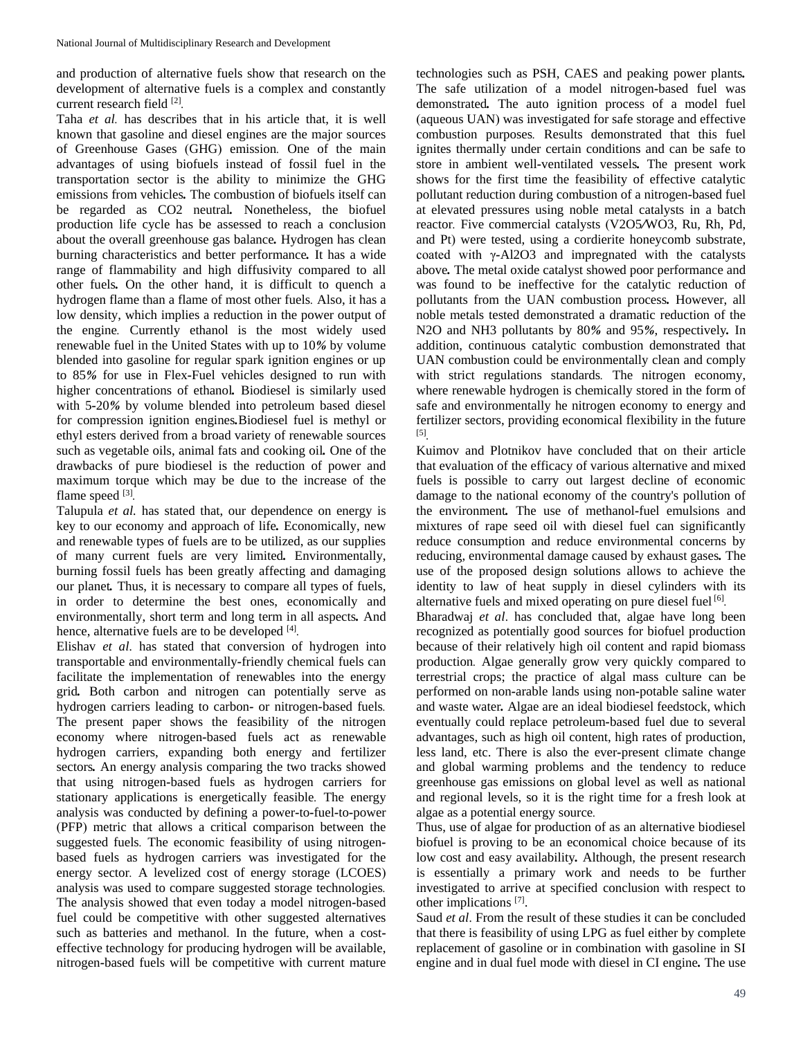and production of alternative fuels show that research on the development of alternative fuels is a complex and constantly current research field [2] *.*

Taha *et al.* has describes that in his article that, it is well known that gasoline and diesel engines are the major sources of Greenhouse Gases (GHG) emission*.* One of the main advantages of using biofuels instead of fossil fuel in the transportation sector is the ability to minimize the GHG emissions from vehicles*.* The combustion of biofuels itself can be regarded as CO2 neutral*.* Nonetheless, the biofuel production life cycle has be assessed to reach a conclusion about the overall greenhouse gas balance*.* Hydrogen has clean burning characteristics and better performance*.* It has a wide range of flammability and high diffusivity compared to all other fuels*.* On the other hand, it is difficult to quench a hydrogen flame than a flame of most other fuels*.* Also, it has a low density, which implies a reduction in the power output of the engine*.* Currently ethanol is the most widely used renewable fuel in the United States with up to 10*%* by volume blended into gasoline for regular spark ignition engines or up to 85*%* for use in Flex*-*Fuel vehicles designed to run with higher concentrations of ethanol*.* Biodiesel is similarly used with 5*-*20*%* by volume blended into petroleum based diesel for compression ignition engines*.*Biodiesel fuel is methyl or ethyl esters derived from a broad variety of renewable sources such as vegetable oils, animal fats and cooking oil*.* One of the drawbacks of pure biodiesel is the reduction of power and maximum torque which may be due to the increase of the flame speed [3].

Talupula *et al.* has stated that, our dependence on energy is key to our economy and approach of life*.* Economically, new and renewable types of fuels are to be utilized, as our supplies of many current fuels are very limited*.* Environmentally, burning fossil fuels has been greatly affecting and damaging our planet*.* Thus, it is necessary to compare all types of fuels, in order to determine the best ones, economically and environmentally, short term and long term in all aspects*.* And hence, alternative fuels are to be developed [4] *.*

Elishav *et al*. has stated that conversion of hydrogen into transportable and environmentally*-*friendly chemical fuels can facilitate the implementation of renewables into the energy grid*.* Both carbon and nitrogen can potentially serve as hydrogen carriers leading to carbon*-* or nitrogen*-*based fuels*.* The present paper shows the feasibility of the nitrogen economy where nitrogen*-*based fuels act as renewable hydrogen carriers, expanding both energy and fertilizer sectors*.* An energy analysis comparing the two tracks showed that using nitrogen*-*based fuels as hydrogen carriers for stationary applications is energetically feasible*.* The energy analysis was conducted by defining a power*-*to*-*fuel*-*to*-*power (PFP) metric that allows a critical comparison between the suggested fuels*.* The economic feasibility of using nitrogenbased fuels as hydrogen carriers was investigated for the energy sector*.* A levelized cost of energy storage (LCOES) analysis was used to compare suggested storage technologies*.* The analysis showed that even today a model nitrogen*-*based fuel could be competitive with other suggested alternatives such as batteries and methanol*.* In the future, when a costeffective technology for producing hydrogen will be available, nitrogen*-*based fuels will be competitive with current mature

technologies such as PSH, CAES and peaking power plants*.*  The safe utilization of a model nitrogen*-*based fuel was demonstrated*.* The auto ignition process of a model fuel (aqueous UAN) was investigated for safe storage and effective combustion purposes*.* Results demonstrated that this fuel ignites thermally under certain conditions and can be safe to store in ambient well*-*ventilated vessels*.* The present work shows for the first time the feasibility of effective catalytic pollutant reduction during combustion of a nitrogen*-*based fuel at elevated pressures using noble metal catalysts in a batch reactor*.* Five commercial catalysts (V2O5*/*WO3, Ru, Rh, Pd, and Pt) were tested, using a cordierite honeycomb substrate, coated with γ*-*Al2O3 and impregnated with the catalysts above*.* The metal oxide catalyst showed poor performance and was found to be ineffective for the catalytic reduction of pollutants from the UAN combustion process*.* However, all noble metals tested demonstrated a dramatic reduction of the N2O and NH3 pollutants by 80*%* and 95*%*, respectively*.* In addition, continuous catalytic combustion demonstrated that UAN combustion could be environmentally clean and comply with strict regulations standards*.* The nitrogen economy, where renewable hydrogen is chemically stored in the form of safe and environmentally he nitrogen economy to energy and fertilizer sectors, providing economical flexibility in the future [5] *.*

Kuimov and Plotnikov have concluded that on their article that evaluation of the efficacy of various alternative and mixed fuels is possible to carry out largest decline of economic damage to the national economy of the country's pollution of the environment*.* The use of methanol*-*fuel emulsions and mixtures of rape seed oil with diesel fuel can significantly reduce consumption and reduce environmental concerns by reducing, environmental damage caused by exhaust gases*.* The use of the proposed design solutions allows to achieve the identity to law of heat supply in diesel cylinders with its alternative fuels and mixed operating on pure diesel fuel [6] *.*

Bharadwaj *et al*. has concluded that, algae have long been recognized as potentially good sources for biofuel production because of their relatively high oil content and rapid biomass production*.* Algae generally grow very quickly compared to terrestrial crops; the practice of algal mass culture can be performed on non*-*arable lands using non*-*potable saline water and waste water*.* Algae are an ideal biodiesel feedstock, which eventually could replace petroleum*-*based fuel due to several advantages, such as high oil content, high rates of production, less land, etc. There is also the ever*-*present climate change and global warming problems and the tendency to reduce greenhouse gas emissions on global level as well as national and regional levels, so it is the right time for a fresh look at algae as a potential energy source*.*

Thus, use of algae for production of as an alternative biodiesel biofuel is proving to be an economical choice because of its low cost and easy availability*.* Although, the present research is essentially a primary work and needs to be further investigated to arrive at specified conclusion with respect to other implications [7].

Saud *et al*. From the result of these studies it can be concluded that there is feasibility of using LPG as fuel either by complete replacement of gasoline or in combination with gasoline in SI engine and in dual fuel mode with diesel in CI engine*.* The use